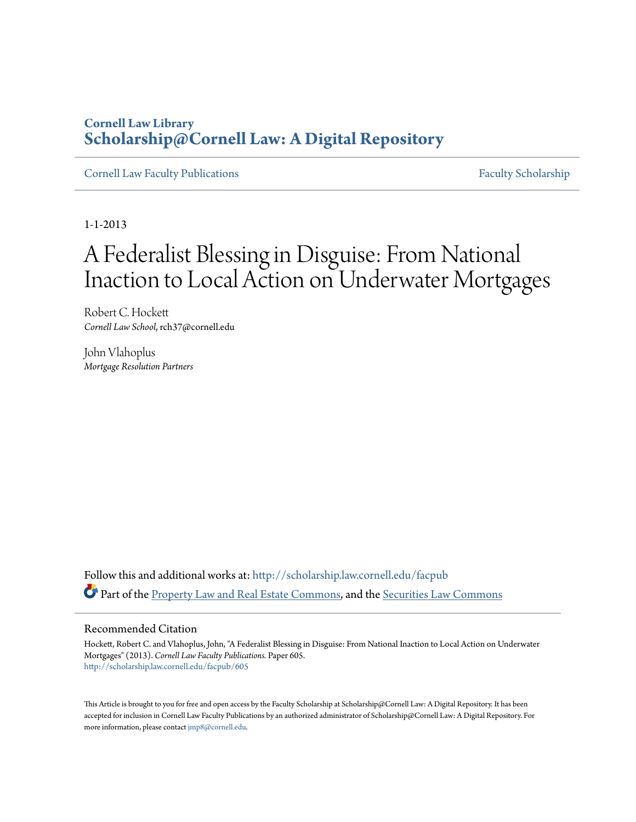# **Cornell Law Library [Scholarship@Cornell Law: A Digital Repository](http://scholarship.law.cornell.edu?utm_source=scholarship.law.cornell.edu%2Ffacpub%2F605&utm_medium=PDF&utm_campaign=PDFCoverPages)**

[Cornell Law Faculty Publications](http://scholarship.law.cornell.edu/facpub?utm_source=scholarship.law.cornell.edu%2Ffacpub%2F605&utm_medium=PDF&utm_campaign=PDFCoverPages) [Faculty Scholarship](http://scholarship.law.cornell.edu/facsch?utm_source=scholarship.law.cornell.edu%2Ffacpub%2F605&utm_medium=PDF&utm_campaign=PDFCoverPages)

1-1-2013

# A Federalist Blessing in Disguise: From National Inaction to Local Action on Underwater Mortgages

Robert C. Hockett *Cornell Law School*, rch37@cornell.edu

John Vlahoplus *Mortgage Resolution Partners*

Follow this and additional works at: [http://scholarship.law.cornell.edu/facpub](http://scholarship.law.cornell.edu/facpub?utm_source=scholarship.law.cornell.edu%2Ffacpub%2F605&utm_medium=PDF&utm_campaign=PDFCoverPages) Part of the [Property Law and Real Estate Commons](http://network.bepress.com/hgg/discipline/897?utm_source=scholarship.law.cornell.edu%2Ffacpub%2F605&utm_medium=PDF&utm_campaign=PDFCoverPages), and the [Securities Law Commons](http://network.bepress.com/hgg/discipline/619?utm_source=scholarship.law.cornell.edu%2Ffacpub%2F605&utm_medium=PDF&utm_campaign=PDFCoverPages)

# Recommended Citation

Hockett, Robert C. and Vlahoplus, John, "A Federalist Blessing in Disguise: From National Inaction to Local Action on Underwater Mortgages" (2013). *Cornell Law Faculty Publications.* Paper 605. [http://scholarship.law.cornell.edu/facpub/605](http://scholarship.law.cornell.edu/facpub/605?utm_source=scholarship.law.cornell.edu%2Ffacpub%2F605&utm_medium=PDF&utm_campaign=PDFCoverPages)

This Article is brought to you for free and open access by the Faculty Scholarship at Scholarship@Cornell Law: A Digital Repository. It has been accepted for inclusion in Cornell Law Faculty Publications by an authorized administrator of Scholarship@Cornell Law: A Digital Repository. For more information, please contact [jmp8@cornell.edu.](mailto:jmp8@cornell.edu)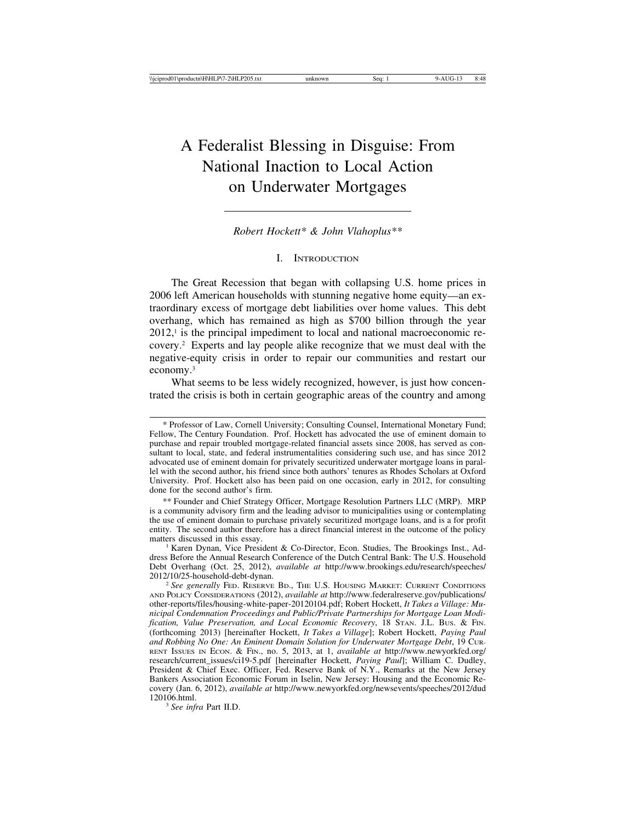# A Federalist Blessing in Disguise: From National Inaction to Local Action on Underwater Mortgages

*Robert Hockett\* & John Vlahoplus\*\**

# I. INTRODUCTION

The Great Recession that began with collapsing U.S. home prices in 2006 left American households with stunning negative home equity—an extraordinary excess of mortgage debt liabilities over home values. This debt overhang, which has remained as high as \$700 billion through the year  $2012$ ,<sup>1</sup> is the principal impediment to local and national macroeconomic recovery.2 Experts and lay people alike recognize that we must deal with the negative-equity crisis in order to repair our communities and restart our economy.3

What seems to be less widely recognized, however, is just how concentrated the crisis is both in certain geographic areas of the country and among

\*\* Founder and Chief Strategy Officer, Mortgage Resolution Partners LLC (MRP). MRP is a community advisory firm and the leading advisor to municipalities using or contemplating the use of eminent domain to purchase privately securitized mortgage loans, and is a for profit entity. The second author therefore has a direct financial interest in the outcome of the policy matters discussed in this essay.<br><sup>1</sup> Karen Dynan, Vice President & Co-Director, Econ. Studies, The Brookings Inst., Ad-

dress Before the Annual Research Conference of the Dutch Central Bank: The U.S. Household Debt Overhang (Oct. 25, 2012), *available at* http://www.brookings.edu/research/speeches/

<sup>2</sup> See generally FED. RESERVE BD., THE U.S. HOUSING MARKET: CURRENT CONDITIONS AND POLICY CONSIDERATIONS (2012), *available at* http://www.federalreserve.gov/publications/ other-reports/files/housing-white-paper-20120104.pdf; Robert Hockett, *It Takes a Village: Municipal Condemnation Proceedings and Public/Private Partnerships for Mortgage Loan Modification, Value Preservation, and Local Economic Recovery*, 18 STAN. J.L. BUS. & FIN. (forthcoming 2013) [hereinafter Hockett, *It Takes a Village*]; Robert Hockett, *Paying Paul and Robbing No One: An Eminent Domain Solution for Underwater Mortgage Debt*, 19 CUR-RENT ISSUES IN ECON. & FIN., no. 5, 2013, at 1, *available at* http://www.newyorkfed.org/ research/current\_issues/ci19-5.pdf [hereinafter Hockett, *Paying Paul*]; William C. Dudley, President & Chief Exec. Officer, Fed. Reserve Bank of N.Y., Remarks at the New Jersey Bankers Association Economic Forum in Iselin, New Jersey: Housing and the Economic Recovery (Jan. 6, 2012), *available at* http://www.newyorkfed.org/newsevents/speeches/2012/dud

<sup>3</sup> See infra Part II.D.

<sup>\*</sup> Professor of Law, Cornell University; Consulting Counsel, International Monetary Fund; Fellow, The Century Foundation. Prof. Hockett has advocated the use of eminent domain to purchase and repair troubled mortgage-related financial assets since 2008, has served as consultant to local, state, and federal instrumentalities considering such use, and has since 2012 advocated use of eminent domain for privately securitized underwater mortgage loans in parallel with the second author, his friend since both authors' tenures as Rhodes Scholars at Oxford University. Prof. Hockett also has been paid on one occasion, early in 2012, for consulting done for the second author's firm.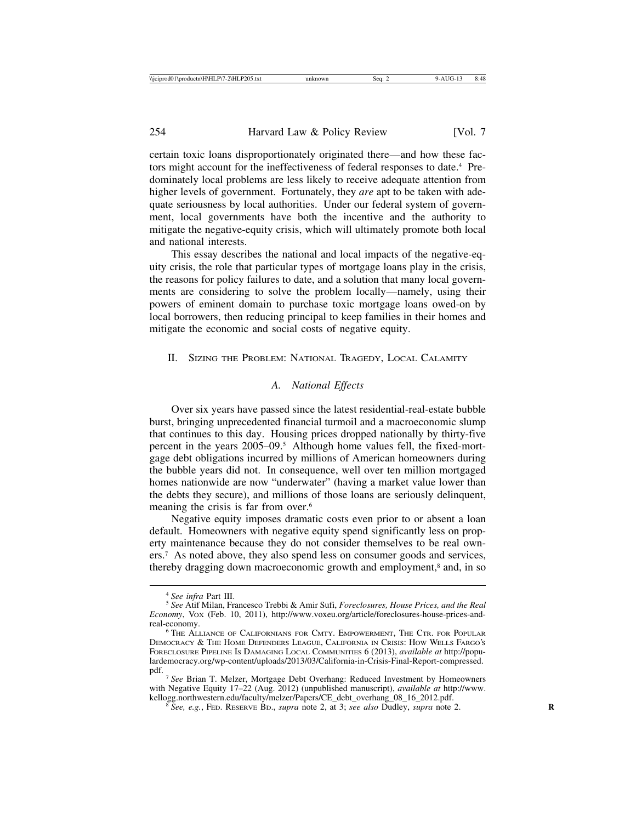certain toxic loans disproportionately originated there—and how these factors might account for the ineffectiveness of federal responses to date.<sup>4</sup> Predominately local problems are less likely to receive adequate attention from higher levels of government. Fortunately, they *are* apt to be taken with adequate seriousness by local authorities. Under our federal system of government, local governments have both the incentive and the authority to mitigate the negative-equity crisis, which will ultimately promote both local and national interests.

This essay describes the national and local impacts of the negative-equity crisis, the role that particular types of mortgage loans play in the crisis, the reasons for policy failures to date, and a solution that many local governments are considering to solve the problem locally—namely, using their powers of eminent domain to purchase toxic mortgage loans owed-on by local borrowers, then reducing principal to keep families in their homes and mitigate the economic and social costs of negative equity.

II. SIZING THE PROBLEM: NATIONAL TRAGEDY, LOCAL CALAMITY

## *A. National Effects*

Over six years have passed since the latest residential-real-estate bubble burst, bringing unprecedented financial turmoil and a macroeconomic slump that continues to this day. Housing prices dropped nationally by thirty-five percent in the years 2005–09.5 Although home values fell, the fixed-mortgage debt obligations incurred by millions of American homeowners during the bubble years did not. In consequence, well over ten million mortgaged homes nationwide are now "underwater" (having a market value lower than the debts they secure), and millions of those loans are seriously delinquent, meaning the crisis is far from over.<sup>6</sup>

Negative equity imposes dramatic costs even prior to or absent a loan default. Homeowners with negative equity spend significantly less on property maintenance because they do not consider themselves to be real owners.7 As noted above, they also spend less on consumer goods and services, thereby dragging down macroeconomic growth and employment,<sup>8</sup> and, in so

<sup>&</sup>lt;sup>4</sup> See infra Part III.<br><sup>5</sup> See Atif Milan, Francesco Trebbi & Amir Sufi, *Foreclosures, House Prices, and the Real Economy*, VOX (Feb. 10, 2011), http://www.voxeu.org/article/foreclosures-house-prices-andreal-economy.<br><sup>6</sup> The Alliance of Californians for Cmty. Empowerment, The Ctr. for Popular

DEMOCRACY & THE HOME DEFENDERS LEAGUE, CALIFORNIA IN CRISIS: HOW WELLS FARGO'S FORECLOSURE PIPELINE IS DAMAGING LOCAL COMMUNITIES 6 (2013), *available at* http://populardemocracy.org/wp-content/uploads/2013/03/California-in-Crisis-Final-Report-compressed.

pdf. <sup>7</sup> *See* Brian T. Melzer, Mortgage Debt Overhang: Reduced Investment by Homeowners with Negative Equity 17–22 (Aug. 2012) (unpublished manuscript), *available at* http://www.<br>kellogg.northwestern.edu/faculty/melzer/Papers/CE debt overhang 08 16 2012.pdf.

Kee, e.g., FED. RESERVE BD., *supra* note 2, at 3; *see also* Dudley, *supra* note 2.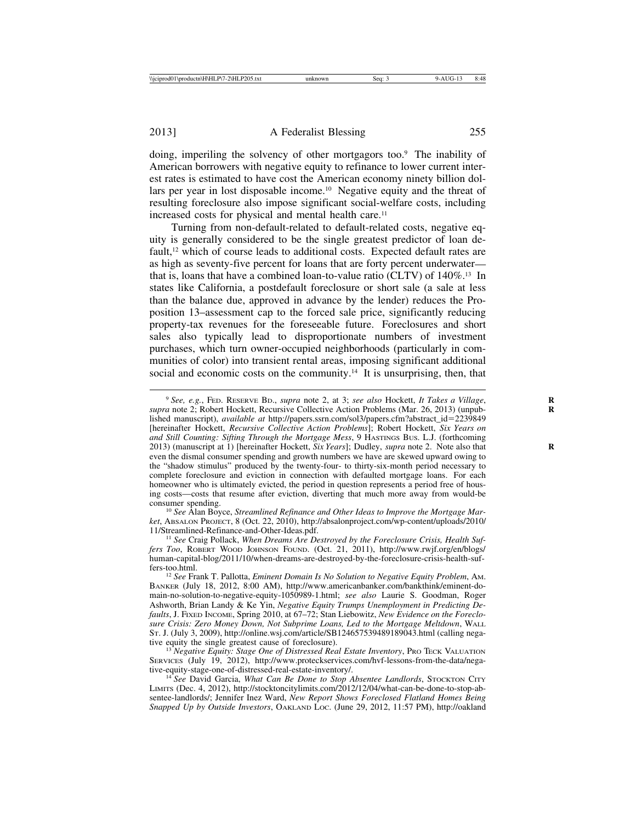doing, imperiling the solvency of other mortgagors too.9 The inability of American borrowers with negative equity to refinance to lower current interest rates is estimated to have cost the American economy ninety billion dollars per year in lost disposable income.<sup>10</sup> Negative equity and the threat of resulting foreclosure also impose significant social-welfare costs, including increased costs for physical and mental health care.<sup>11</sup>

Turning from non-default-related to default-related costs, negative equity is generally considered to be the single greatest predictor of loan default,<sup>12</sup> which of course leads to additional costs. Expected default rates are as high as seventy-five percent for loans that are forty percent underwater that is, loans that have a combined loan-to-value ratio (CLTV) of 140%.13 In states like California, a postdefault foreclosure or short sale (a sale at less than the balance due, approved in advance by the lender) reduces the Proposition 13–assessment cap to the forced sale price, significantly reducing property-tax revenues for the foreseeable future. Foreclosures and short sales also typically lead to disproportionate numbers of investment purchases, which turn owner-occupied neighborhoods (particularly in communities of color) into transient rental areas, imposing significant additional social and economic costs on the community.<sup>14</sup> It is unsurprising, then, that

<sup>10</sup> See Alan Boyce, *Streamlined Refinance and Other Ideas to Improve the Mortgage Market*, ABSALON PROJECT, 8 (Oct. 22, 2010), http://absalonproject.com/wp-content/uploads/2010/

<sup>9</sup> *See, e.g.*, FED. RESERVE BD., *supra* note 2, at 3; *see also* Hockett, *It Takes a Village*, **R** *supra* note 2; Robert Hockett, Recursive Collective Action Problems (Mar. 26, 2013) (unpublished manuscript), *available at* http://papers.ssrn.com/sol3/papers.cfm?abstract\_id=2239849 [hereinafter Hockett, *Recursive Collective Action Problems*]; Robert Hockett, *Six Years on and Still Counting: Sifting Through the Mortgage Mess*, 9 HASTINGS BUS. L.J. (forthcoming 2013) (manuscript at 1) [hereinafter Hockett, *Six Years*]; Dudley, *supra* note 2. Note also that **R** even the dismal consumer spending and growth numbers we have are skewed upward owing to the "shadow stimulus" produced by the twenty-four- to thirty-six-month period necessary to complete foreclosure and eviction in connection with defaulted mortgage loans. For each homeowner who is ultimately evicted, the period in question represents a period free of housing costs—costs that resume after eviction, diverting that much more away from would-be

<sup>&</sup>lt;sup>11</sup> See Craig Pollack, When Dreams Are Destroyed by the Foreclosure Crisis, Health Suf*fers Too*, ROBERT WOOD JOHNSON FOUND. (Oct. 21, 2011), http://www.rwjf.org/en/blogs/ human-capital-blog/2011/10/when-dreams-are-destroyed-by-the-foreclosure-crisis-health-suffers-too.html. <sup>12</sup> *See* Frank T. Pallotta, *Eminent Domain Is No Solution to Negative Equity Problem*, AM.

BANKER (July 18, 2012, 8:00 AM), http://www.americanbanker.com/bankthink/eminent-domain-no-solution-to-negative-equity-1050989-1.html; *see also* Laurie S. Goodman, Roger Ashworth, Brian Landy & Ke Yin, *Negative Equity Trumps Unemployment in Predicting Defaults*, J. FIXED INCOME, Spring 2010, at 67–72; Stan Liebowitz, *New Evidence on the Foreclosure Crisis: Zero Money Down, Not Subprime Loans, Led to the Mortgage Meltdown*, WALL ST. J. (July 3, 2009), http://online.wsj.com/article/SB124657539489189043.html (calling negative equity the single greatest cause of foreclosure).

<sup>&</sup>lt;sup>3</sup> *Negative Equity: Stage One of Distressed Real Estate Inventory*, Pro Teck VALUATION SERVICES (July 19, 2012), http://www.proteckservices.com/hvf-lessons-from-the-data/nega-<br>tive-equity-stage-one-of-distressed-real-estate-inventory/.

<sup>&</sup>lt;sup>14</sup> See David Garcia, What Can Be Done to Stop Absentee Landlords, STOCKTON CITY LIMITS (Dec. 4, 2012), http://stocktoncitylimits.com/2012/12/04/what-can-be-done-to-stop-absentee-landlords/; Jennifer Inez Ward, *New Report Shows Foreclosed Flatland Homes Being Snapped Up by Outside Investors*, OAKLAND LOC. (June 29, 2012, 11:57 PM), http://oakland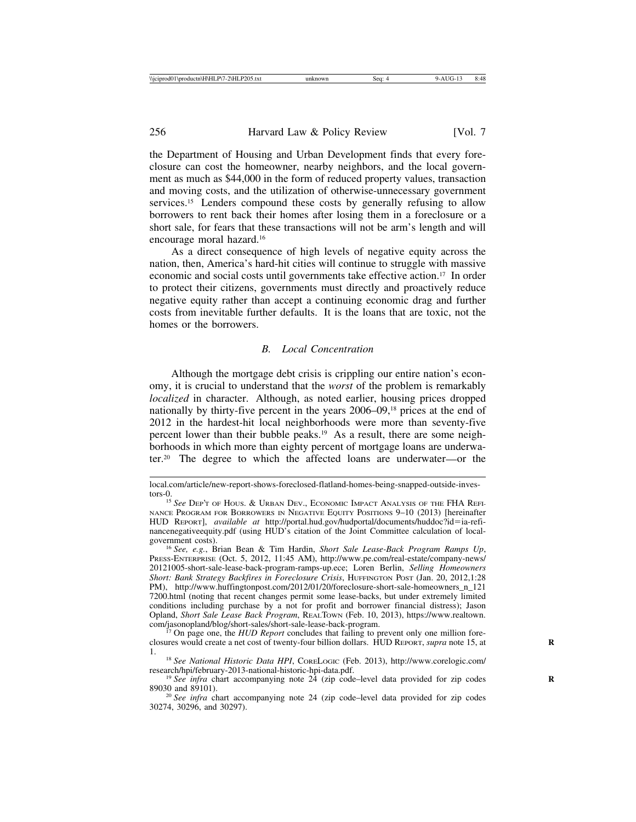the Department of Housing and Urban Development finds that every foreclosure can cost the homeowner, nearby neighbors, and the local government as much as \$44,000 in the form of reduced property values, transaction and moving costs, and the utilization of otherwise-unnecessary government services.<sup>15</sup> Lenders compound these costs by generally refusing to allow borrowers to rent back their homes after losing them in a foreclosure or a short sale, for fears that these transactions will not be arm's length and will encourage moral hazard.16

As a direct consequence of high levels of negative equity across the nation, then, America's hard-hit cities will continue to struggle with massive economic and social costs until governments take effective action.17 In order to protect their citizens, governments must directly and proactively reduce negative equity rather than accept a continuing economic drag and further costs from inevitable further defaults. It is the loans that are toxic, not the homes or the borrowers.

# *B. Local Concentration*

Although the mortgage debt crisis is crippling our entire nation's economy, it is crucial to understand that the *worst* of the problem is remarkably *localized* in character. Although, as noted earlier, housing prices dropped nationally by thirty-five percent in the years 2006–09,18 prices at the end of 2012 in the hardest-hit local neighborhoods were more than seventy-five percent lower than their bubble peaks.19 As a result, there are some neighborhoods in which more than eighty percent of mortgage loans are underwater.20 The degree to which the affected loans are underwater—or the

local.com/article/new-report-shows-foreclosed-flatland-homes-being-snapped-outside-inves-

<sup>&</sup>lt;sup>15</sup> See DEP'T OF HOUS. & URBAN DEV., ECONOMIC IMPACT ANALYSIS OF THE FHA REFI-NANCE PROGRAM FOR BORROWERS IN NEGATIVE EQUITY POSITIONS 9–10 (2013) [hereinafter] HUD REPORT], *available at* http://portal.hud.gov/hudportal/documents/huddoc?id=ia-refinancenegative equity.pdf (using HUD's citation of the Joint Committee calculation of local-government costs).

<sup>&</sup>lt;sup>16</sup> See, e.g., Brian Bean & Tim Hardin, *Short Sale Lease-Back Program Ramps Up*, PRESS-ENTERPRISE (Oct. 5, 2012, 11:45 AM), http://www.pe.com/real-estate/company-news/ 20121005-short-sale-lease-back-program-ramps-up.ece; Loren Berlin, *Selling Homeowners Short: Bank Strategy Backfires in Foreclosure Crisis*, HUFFINGTON POST (Jan. 20, 2012,1:28 PM), http://www.huffingtonpost.com/2012/01/20/foreclosure-short-sale-homeowners\_n\_121 7200.html (noting that recent changes permit some lease-backs, but under extremely limited conditions including purchase by a not for profit and borrower financial distress); Jason Opland, *Short Sale Lease Back Program*, REALTOWN (Feb. 10, 2013), https://www.realtown.

On page one, the *HUD Report* concludes that failing to prevent only one million foreclosures would create a net cost of twenty-four billion dollars. HUD REPORT, *supra* note 15, at **R**

<sup>1. &</sup>lt;sup>18</sup> *See National Historic Data HPI*, CoreLogic (Feb. 2013), http://www.corelogic.com/<br>research/hpi/february-2013-national-historic-hpi-data.pdf.

<sup>&</sup>lt;sup>19</sup> See infra chart accompanying note  $24$  (zip code–level data provided for zip codes 89030 and 89101).

<sup>&</sup>lt;sup>20</sup> See infra chart accompanying note 24 (zip code–level data provided for zip codes 30274, 30296, and 30297).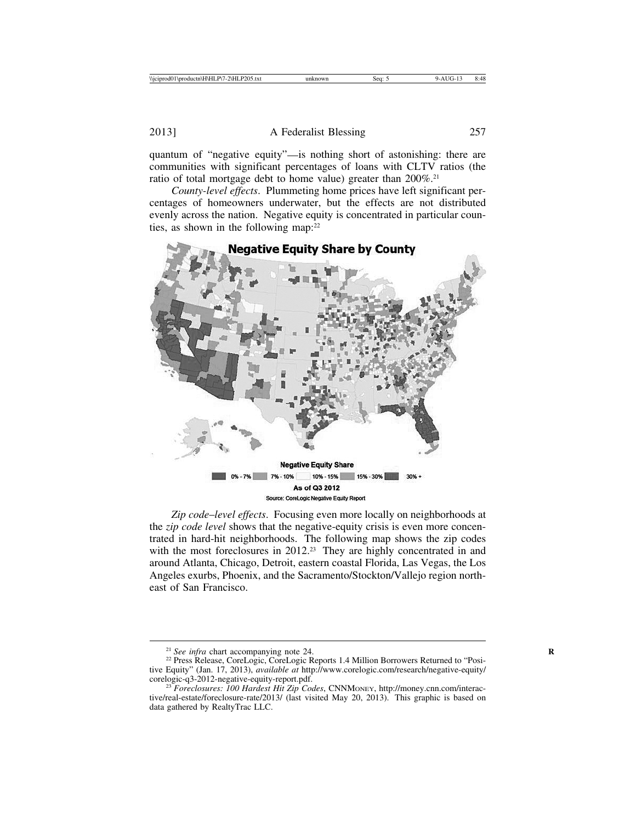quantum of "negative equity"—is nothing short of astonishing: there are communities with significant percentages of loans with CLTV ratios (the ratio of total mortgage debt to home value) greater than 200%.21

*County-level effects*. Plummeting home prices have left significant percentages of homeowners underwater, but the effects are not distributed evenly across the nation. Negative equity is concentrated in particular counties, as shown in the following map: $22$ 



*Zip code*–*level effects*. Focusing even more locally on neighborhoods at the *zip code level* shows that the negative-equity crisis is even more concentrated in hard-hit neighborhoods. The following map shows the zip codes with the most foreclosures in 2012.<sup>23</sup> They are highly concentrated in and around Atlanta, Chicago, Detroit, eastern coastal Florida, Las Vegas, the Los Angeles exurbs, Phoenix, and the Sacramento/Stockton/Vallejo region northeast of San Francisco.

<sup>&</sup>lt;sup>21</sup> *See infra* chart accompanying note 24.<br><sup>22</sup> Press Release, CoreLogic, CoreLogic Reports 1.4 Million Borrowers Returned to "Positive Equity" (Jan. 17, 2013), *available at* http://www.corelogic.com/research/negative-equity/

<sup>&</sup>lt;sup>23</sup> Foreclosures: 100 Hardest Hit Zip Codes, CNNMONEY, http://money.cnn.com/interactive/real-estate/foreclosure-rate/2013/ (last visited May 20, 2013). This graphic is based on data gathered by RealtyTrac LLC.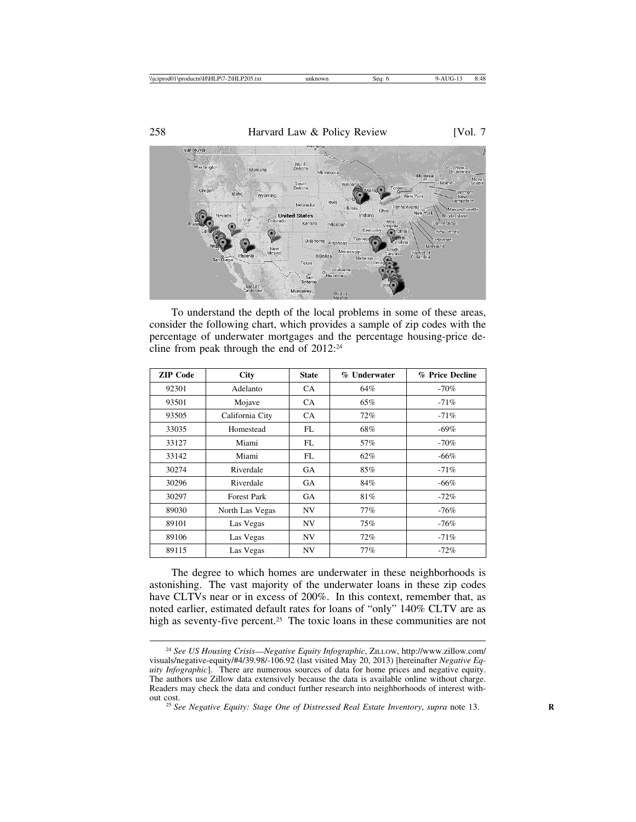

To understand the depth of the local problems in some of these areas, consider the following chart, which provides a sample of zip codes with the percentage of underwater mortgages and the percentage housing-price decline from peak through the end of  $2012$ :<sup>24</sup>

| <b>ZIP</b> Code | <b>City</b>        | <b>State</b> | % Underwater | % Price Decline |
|-----------------|--------------------|--------------|--------------|-----------------|
| 92301           | Adelanto           | CA.          | 64%          | $-70%$          |
| 93501           | Mojave             | <b>CA</b>    | 65%          | $-71%$          |
| 93505           | California City    | <b>CA</b>    | 72%          | $-71%$          |
| 33035           | Homestead          | FL           | 68%          | $-69\%$         |
| 33127           | Miami              | FL           | 57%          | $-70%$          |
| 33142           | Miami              | FL           | 62%          | $-66\%$         |
| 30274           | Riverdale          | GA           | 85%          | $-71%$          |
| 30296           | Riverdale          | GA           | 84%          | $-66\%$         |
| 30297           | <b>Forest Park</b> | GA           | 81%          | $-72%$          |
| 89030           | North Las Vegas    | NV           | 77%          | $-76%$          |
| 89101           | Las Vegas          | NV           | 75%          | $-76%$          |
| 89106           | Las Vegas          | NV           | 72%          | $-71%$          |
| 89115           | Las Vegas          | NV           | 77%          | $-72%$          |

The degree to which homes are underwater in these neighborhoods is astonishing. The vast majority of the underwater loans in these zip codes have CLTVs near or in excess of 200%. In this context, remember that, as noted earlier, estimated default rates for loans of "only" 140% CLTV are as high as seventy-five percent.<sup>25</sup> The toxic loans in these communities are not

<sup>24</sup> *See US Housing Crisis*—*Negative Equity Infographic*, ZILLOW, http://www.zillow.com/ visuals/negative-equity/#4/39.98/-106.92 (last visited May 20, 2013) [hereinafter *Negative Equity Infographic*]. There are numerous sources of data for home prices and negative equity. The authors use Zillow data extensively because the data is available online without charge. Readers may check the data and conduct further research into neighborhoods of interest with-

<sup>&</sup>lt;sup>25</sup> See Negative Equity: Stage One of Distressed Real Estate Inventory, supra note 13.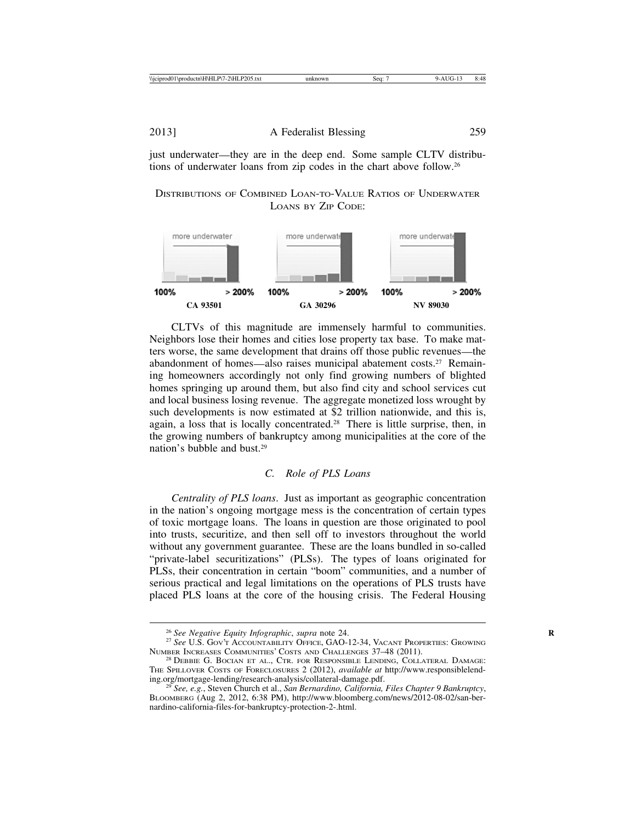just underwater—they are in the deep end. Some sample CLTV distributions of underwater loans from zip codes in the chart above follow.26

DISTRIBUTIONS OF COMBINED LOAN-TO-VALUE RATIOS OF UNDERWATER LOANS BY ZIP CODE:



CLTVs of this magnitude are immensely harmful to communities. Neighbors lose their homes and cities lose property tax base. To make matters worse, the same development that drains off those public revenues—the abandonment of homes—also raises municipal abatement costs.27 Remaining homeowners accordingly not only find growing numbers of blighted homes springing up around them, but also find city and school services cut and local business losing revenue. The aggregate monetized loss wrought by such developments is now estimated at \$2 trillion nationwide, and this is, again, a loss that is locally concentrated.28 There is little surprise, then, in the growing numbers of bankruptcy among municipalities at the core of the nation's bubble and bust.29

#### *C. Role of PLS Loans*

*Centrality of PLS loans*. Just as important as geographic concentration in the nation's ongoing mortgage mess is the concentration of certain types of toxic mortgage loans. The loans in question are those originated to pool into trusts, securitize, and then sell off to investors throughout the world without any government guarantee. These are the loans bundled in so-called "private-label securitizations" (PLSs). The types of loans originated for PLSs, their concentration in certain "boom" communities, and a number of serious practical and legal limitations on the operations of PLS trusts have placed PLS loans at the core of the housing crisis. The Federal Housing

<sup>&</sup>lt;sup>26</sup> *See Negative Equity Infographic*, *supra* note 24.<br><sup>27</sup> *See* U.S. Gov't Accountability Office, GAO-12-34, VACANT PROPERTIES: GROWING NUMBER INCREASES COMMUNITIES' COSTS AND CHALLENGES 37–48 (2011).

 $^{28}$  Debbie G. Bocian et al., Ctr. for Responsible Lending, Collateral Damage: THE SPILLOVER COSTS OF FORECLOSURES 2 (2012), *available at* http://www.responsiblelend-

<sup>&</sup>lt;sup>29</sup> See, e.g., Steven Church et al., *San Bernardino, California, Files Chapter 9 Bankruptcy*, BLOOMBERG (Aug 2, 2012, 6:38 PM), http://www.bloomberg.com/news/2012-08-02/san-bernardino-california-files-for-bankruptcy-protection-2-.html.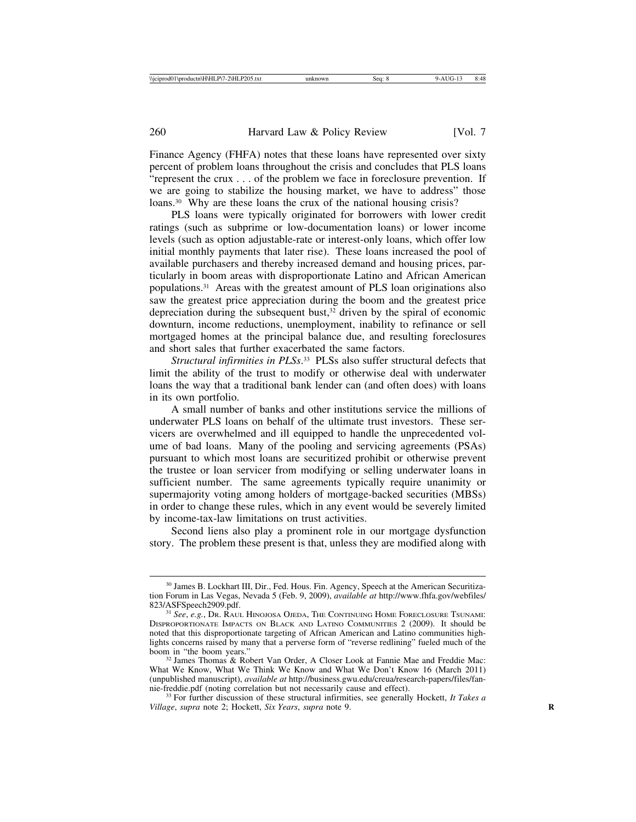Finance Agency (FHFA) notes that these loans have represented over sixty percent of problem loans throughout the crisis and concludes that PLS loans "represent the crux . . . of the problem we face in foreclosure prevention. If we are going to stabilize the housing market, we have to address" those loans.<sup>30</sup> Why are these loans the crux of the national housing crisis?

PLS loans were typically originated for borrowers with lower credit ratings (such as subprime or low-documentation loans) or lower income levels (such as option adjustable-rate or interest-only loans, which offer low initial monthly payments that later rise). These loans increased the pool of available purchasers and thereby increased demand and housing prices, particularly in boom areas with disproportionate Latino and African American populations.31 Areas with the greatest amount of PLS loan originations also saw the greatest price appreciation during the boom and the greatest price depreciation during the subsequent bust, $32$  driven by the spiral of economic downturn, income reductions, unemployment, inability to refinance or sell mortgaged homes at the principal balance due, and resulting foreclosures and short sales that further exacerbated the same factors.

*Structural infirmities in PLSs*. 33 PLSs also suffer structural defects that limit the ability of the trust to modify or otherwise deal with underwater loans the way that a traditional bank lender can (and often does) with loans in its own portfolio.

A small number of banks and other institutions service the millions of underwater PLS loans on behalf of the ultimate trust investors. These servicers are overwhelmed and ill equipped to handle the unprecedented volume of bad loans. Many of the pooling and servicing agreements (PSAs) pursuant to which most loans are securitized prohibit or otherwise prevent the trustee or loan servicer from modifying or selling underwater loans in sufficient number. The same agreements typically require unanimity or supermajority voting among holders of mortgage-backed securities (MBSs) in order to change these rules, which in any event would be severely limited by income-tax-law limitations on trust activities.

Second liens also play a prominent role in our mortgage dysfunction story. The problem these present is that, unless they are modified along with

<sup>&</sup>lt;sup>30</sup> James B. Lockhart III, Dir., Fed. Hous. Fin. Agency, Speech at the American Securitization Forum in Las Vegas, Nevada 5 (Feb. 9, 2009), *available at* http://www.fhfa.gov/webfiles/

<sup>&</sup>lt;sup>31</sup> See, e.g., Dr. RAUL HINOJOSA OJEDA, THE CONTINUING HOME FORECLOSURE TSUNAMI: DISPROPORTIONATE IMPACTS ON BLACK AND LATINO COMMUNITIES 2 (2009). It should be noted that this disproportionate targeting of African American and Latino communities highlights concerns raised by many that a perverse form of "reverse redlining" fueled much of the

<sup>&</sup>lt;sup>32</sup> James Thomas & Robert Van Order, A Closer Look at Fannie Mae and Freddie Mac: What We Know, What We Think We Know and What We Don't Know 16 (March 2011) (unpublished manuscript), *available at* http://business.gwu.edu/creua/research-papers/files/fan-

<sup>&</sup>lt;sup>33</sup> For further discussion of these structural infirmities, see generally Hockett, *It Takes a Village*, *supra* note 2; Hockett, *Six Years*, *supra* note 9. **R**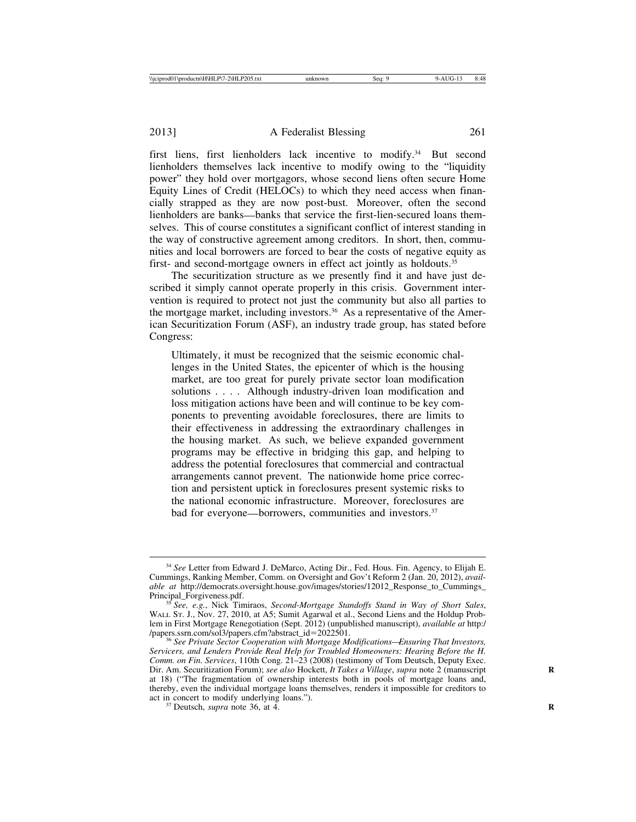first liens, first lienholders lack incentive to modify.34 But second lienholders themselves lack incentive to modify owing to the "liquidity power" they hold over mortgagors, whose second liens often secure Home Equity Lines of Credit (HELOCs) to which they need access when financially strapped as they are now post-bust. Moreover, often the second lienholders are banks—banks that service the first-lien-secured loans themselves. This of course constitutes a significant conflict of interest standing in the way of constructive agreement among creditors. In short, then, communities and local borrowers are forced to bear the costs of negative equity as first- and second-mortgage owners in effect act jointly as holdouts.<sup>35</sup>

The securitization structure as we presently find it and have just described it simply cannot operate properly in this crisis. Government intervention is required to protect not just the community but also all parties to the mortgage market, including investors.<sup>36</sup> As a representative of the American Securitization Forum (ASF), an industry trade group, has stated before Congress:

Ultimately, it must be recognized that the seismic economic challenges in the United States, the epicenter of which is the housing market, are too great for purely private sector loan modification solutions . . . . Although industry-driven loan modification and loss mitigation actions have been and will continue to be key components to preventing avoidable foreclosures, there are limits to their effectiveness in addressing the extraordinary challenges in the housing market. As such, we believe expanded government programs may be effective in bridging this gap, and helping to address the potential foreclosures that commercial and contractual arrangements cannot prevent. The nationwide home price correction and persistent uptick in foreclosures present systemic risks to the national economic infrastructure. Moreover, foreclosures are bad for everyone—borrowers, communities and investors.<sup>37</sup>

<sup>34</sup> *See* Letter from Edward J. DeMarco, Acting Dir., Fed. Hous. Fin. Agency, to Elijah E. Cummings, Ranking Member, Comm. on Oversight and Gov't Reform 2 (Jan. 20, 2012), *available at* http://democrats.oversight.house.gov/images/stories/12012\_Response\_to\_Cummings\_

Principal\_Forgiveness.pdf. <sup>35</sup> *See, e.g.*, Nick Timiraos, *Second-Mortgage Standoffs Stand in Way of Short Sales*, WALL ST. J., Nov. 27, 2010, at A5; Sumit Agarwal et al., Second Liens and the Holdup Problem in First Mortgage Renegotiation (Sept. 2012) (unpublished manuscript), *available at* http:/

<sup>&</sup>lt;sup>36</sup> See Private Sector Cooperation with Mortgage Modifications—*Ensuring That Investors*, *Servicers, and Lenders Provide Real Help for Troubled Homeowners: Hearing Before the H. Comm. on Fin. Services*, 110th Cong. 21–23 (2008) (testimony of Tom Deutsch, Deputy Exec. Dir. Am. Securitization Forum); *see also* Hockett, *It Takes a Village*, *supra* note 2 (manuscript at 18) ("The fragmentation of ownership interests both in pools of mortgage loans and, thereby, even the individual mortgage loans themselves, renders it impossible for creditors to act in concert to modify underlying loans."). <sup>37</sup> Deutsch, *supra* note 36, at 4.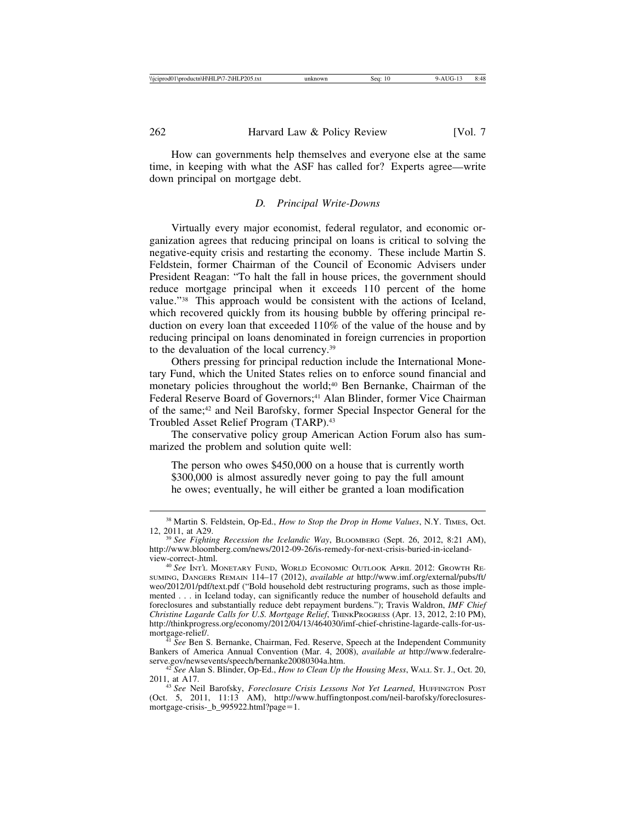How can governments help themselves and everyone else at the same time, in keeping with what the ASF has called for? Experts agree—write down principal on mortgage debt.

#### *D. Principal Write-Downs*

Virtually every major economist, federal regulator, and economic organization agrees that reducing principal on loans is critical to solving the negative-equity crisis and restarting the economy. These include Martin S. Feldstein, former Chairman of the Council of Economic Advisers under President Reagan: "To halt the fall in house prices, the government should reduce mortgage principal when it exceeds 110 percent of the home value."38 This approach would be consistent with the actions of Iceland, which recovered quickly from its housing bubble by offering principal reduction on every loan that exceeded 110% of the value of the house and by reducing principal on loans denominated in foreign currencies in proportion to the devaluation of the local currency.39

Others pressing for principal reduction include the International Monetary Fund, which the United States relies on to enforce sound financial and monetary policies throughout the world;<sup>40</sup> Ben Bernanke, Chairman of the Federal Reserve Board of Governors;<sup>41</sup> Alan Blinder, former Vice Chairman of the same;42 and Neil Barofsky, former Special Inspector General for the Troubled Asset Relief Program (TARP).43

The conservative policy group American Action Forum also has summarized the problem and solution quite well:

The person who owes \$450,000 on a house that is currently worth \$300,000 is almost assuredly never going to pay the full amount he owes; eventually, he will either be granted a loan modification

<sup>41</sup> *See* Ben S. Bernanke, Chairman, Fed. Reserve, Speech at the Independent Community Bankers of America Annual Convention (Mar. 4, 2008), *available at* http://www.federalre-

<sup>38</sup> Martin S. Feldstein, Op-Ed., *How to Stop the Drop in Home Values*, N.Y. TIMES, Oct. 12, 2011, at A29. <sup>39</sup> *See Fighting Recession the Icelandic Way*, BLOOMBERG (Sept. 26, 2012, 8:21 AM),

http://www.bloomberg.com/news/2012-09-26/is-remedy-for-next-crisis-buried-in-iceland-

<sup>&</sup>lt;sup>40</sup> See Int'l MONETARY FUND, WORLD ECONOMIC OUTLOOK APRIL 2012: GROWTH RE-SUMING, DANGERS REMAIN 114–17 (2012), *available at* http://www.imf.org/external/pubs/ft/ weo/2012/01/pdf/text.pdf ("Bold household debt restructuring programs, such as those implemented . . . in Iceland today, can significantly reduce the number of household defaults and foreclosures and substantially reduce debt repayment burdens."); Travis Waldron, *IMF Chief Christine Lagarde Calls for U.S. Mortgage Relief*, THINKPROGRESS (Apr. 13, 2012, 2:10 PM), http://thinkprogress.org/economy/2012/04/13/464030/imf-chief-christine-lagarde-calls-for-us-<br>mortgage-relief/.

<sup>&</sup>lt;sup>42</sup> See Alan S. Blinder, Op-Ed., *How to Clean Up the Housing Mess*, WALL ST. J., Oct. 20, 2011, at A17.

<sup>&</sup>lt;sup>43</sup> See Neil Barofsky, *Foreclosure Crisis Lessons Not Yet Learned*, HUFFINGTON POST (Oct. 5, 2011, 11:13 AM), http://www.huffingtonpost.com/neil-barofsky/foreclosuresmortgage-crisis-\_b\_995922.html?page=1.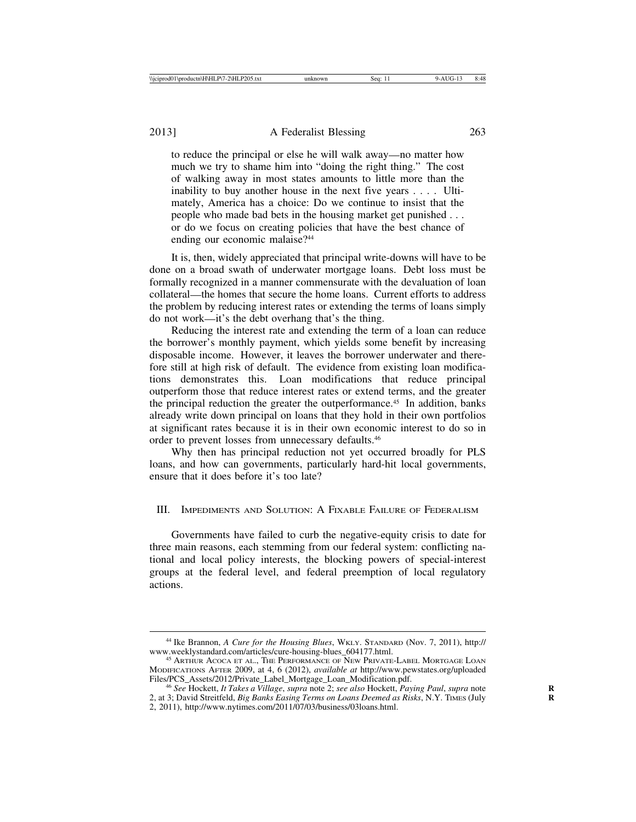to reduce the principal or else he will walk away—no matter how much we try to shame him into "doing the right thing." The cost of walking away in most states amounts to little more than the inability to buy another house in the next five years . . . . Ultimately, America has a choice: Do we continue to insist that the people who made bad bets in the housing market get punished . . . or do we focus on creating policies that have the best chance of ending our economic malaise?<sup>44</sup>

It is, then, widely appreciated that principal write-downs will have to be done on a broad swath of underwater mortgage loans. Debt loss must be formally recognized in a manner commensurate with the devaluation of loan collateral—the homes that secure the home loans. Current efforts to address the problem by reducing interest rates or extending the terms of loans simply do not work—it's the debt overhang that's the thing.

Reducing the interest rate and extending the term of a loan can reduce the borrower's monthly payment, which yields some benefit by increasing disposable income. However, it leaves the borrower underwater and therefore still at high risk of default. The evidence from existing loan modifications demonstrates this. Loan modifications that reduce principal outperform those that reduce interest rates or extend terms, and the greater the principal reduction the greater the outperformance.45 In addition, banks already write down principal on loans that they hold in their own portfolios at significant rates because it is in their own economic interest to do so in order to prevent losses from unnecessary defaults.46

Why then has principal reduction not yet occurred broadly for PLS loans, and how can governments, particularly hard-hit local governments, ensure that it does before it's too late?

# III. IMPEDIMENTS AND SOLUTION: A FIXABLE FAILURE OF FEDERALISM

Governments have failed to curb the negative-equity crisis to date for three main reasons, each stemming from our federal system: conflicting national and local policy interests, the blocking powers of special-interest groups at the federal level, and federal preemption of local regulatory actions.

<sup>44</sup> Ike Brannon, *A Cure for the Housing Blues*, WKLY. STANDARD (Nov. 7, 2011), http://

<sup>&</sup>lt;sup>45</sup> ARTHUR ACOCA ET AL., THE PERFORMANCE OF NEW PRIVATE-LABEL MORTGAGE LOAN MODIFICATIONS AFTER 2009, at 4, 6 (2012), *available at* http://www.pewstates.org/uploaded

Files/PCS\_Assets/2012/Private\_Label\_Mortgage\_Loan\_Modification.pdf. <sup>46</sup> *See* Hockett, *It Takes a Village*, *supra* note 2; *see also* Hockett, *Paying Paul*, *supra* note **<sup>R</sup>** 2, at 3; David Streitfeld, *Big Banks Easing Terms on Loans Deemed as Risks*, N.Y. TIMES (July 2, 2011), http://www.nytimes.com/2011/07/03/business/03loans.html.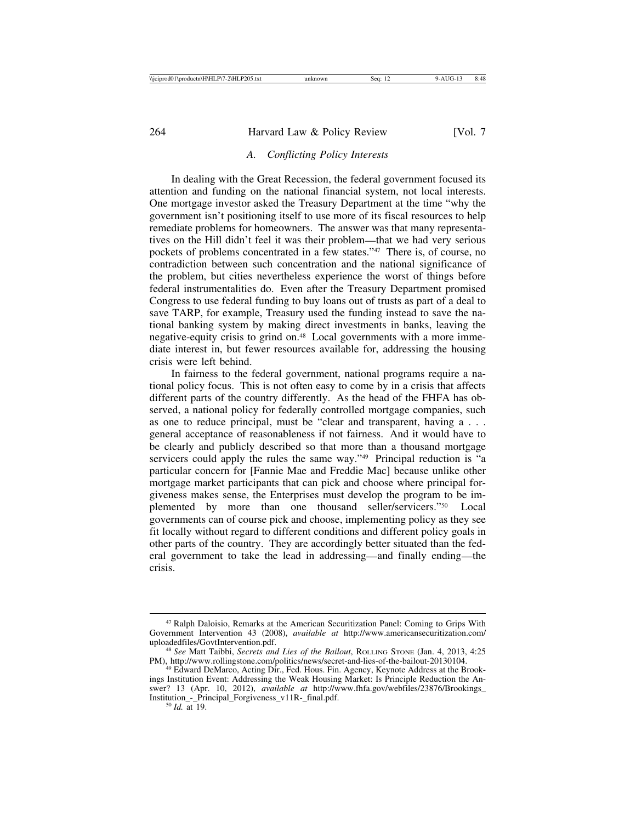## *A. Conflicting Policy Interests*

In dealing with the Great Recession, the federal government focused its attention and funding on the national financial system, not local interests. One mortgage investor asked the Treasury Department at the time "why the government isn't positioning itself to use more of its fiscal resources to help remediate problems for homeowners. The answer was that many representatives on the Hill didn't feel it was their problem—that we had very serious pockets of problems concentrated in a few states."47 There is, of course, no contradiction between such concentration and the national significance of the problem, but cities nevertheless experience the worst of things before federal instrumentalities do. Even after the Treasury Department promised Congress to use federal funding to buy loans out of trusts as part of a deal to save TARP, for example, Treasury used the funding instead to save the national banking system by making direct investments in banks, leaving the negative-equity crisis to grind on.48 Local governments with a more immediate interest in, but fewer resources available for, addressing the housing crisis were left behind.

In fairness to the federal government, national programs require a national policy focus. This is not often easy to come by in a crisis that affects different parts of the country differently. As the head of the FHFA has observed, a national policy for federally controlled mortgage companies, such as one to reduce principal, must be "clear and transparent, having a . . . general acceptance of reasonableness if not fairness. And it would have to be clearly and publicly described so that more than a thousand mortgage servicers could apply the rules the same way."<sup>49</sup> Principal reduction is "a particular concern for [Fannie Mae and Freddie Mac] because unlike other mortgage market participants that can pick and choose where principal forgiveness makes sense, the Enterprises must develop the program to be implemented by more than one thousand seller/servicers."50 Local governments can of course pick and choose, implementing policy as they see fit locally without regard to different conditions and different policy goals in other parts of the country. They are accordingly better situated than the federal government to take the lead in addressing—and finally ending—the crisis.

<sup>47</sup> Ralph Daloisio, Remarks at the American Securitization Panel: Coming to Grips With Government Intervention 43 (2008), *available at* http://www.americansecuritization.com/

uploadedfiles/GovtIntervention.pdf.<br><sup>48</sup> *See* Matt Taibbi, *Secrets and Lies of the Bailout*, ROLLING STONE (Jan. 4, 2013, 4:25 PM), http://www.rollingstone.com/politics/news/secret-and-lies-of-the-bailout-20130104.

<sup>&</sup>lt;sup>49</sup> Edward DeMarco, Acting Dir., Fed. Hous. Fin. Agency, Keynote Address at the Brookings Institution Event: Addressing the Weak Housing Market: Is Principle Reduction the Answer? 13 (Apr. 10, 2012), *available at* http://www.fhfa.gov/webfiles/23876/Brookings\_ Institution\_-\_Principal\_Forgiveness\_v11R-\_final.pdf. <sup>50</sup> *Id.* at 19.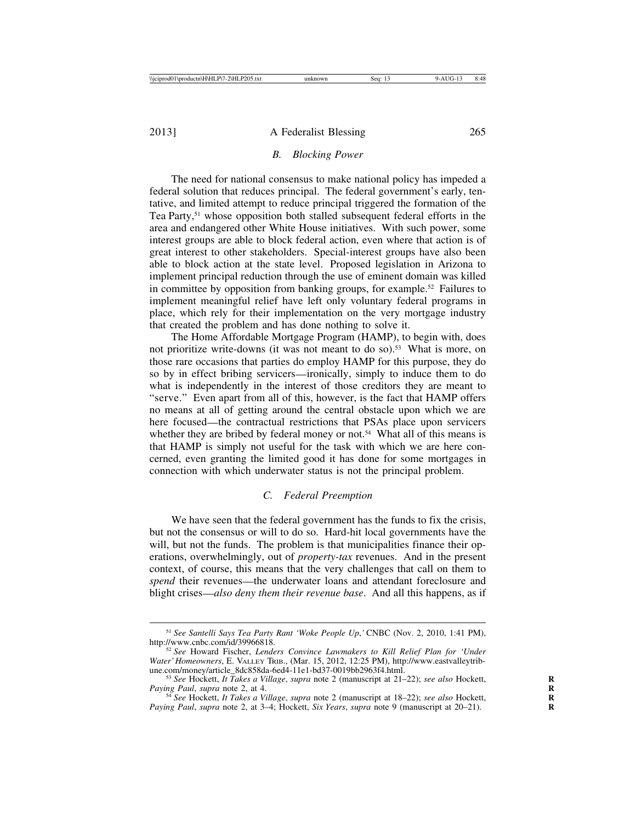#### *B. Blocking Power*

The need for national consensus to make national policy has impeded a federal solution that reduces principal. The federal government's early, tentative, and limited attempt to reduce principal triggered the formation of the Tea Party,<sup>51</sup> whose opposition both stalled subsequent federal efforts in the area and endangered other White House initiatives. With such power, some interest groups are able to block federal action, even where that action is of great interest to other stakeholders. Special-interest groups have also been able to block action at the state level. Proposed legislation in Arizona to implement principal reduction through the use of eminent domain was killed in committee by opposition from banking groups, for example.<sup>52</sup> Failures to implement meaningful relief have left only voluntary federal programs in place, which rely for their implementation on the very mortgage industry that created the problem and has done nothing to solve it.

The Home Affordable Mortgage Program (HAMP), to begin with, does not prioritize write-downs (it was not meant to do so).<sup>53</sup> What is more, on those rare occasions that parties do employ HAMP for this purpose, they do so by in effect bribing servicers—ironically, simply to induce them to do what is independently in the interest of those creditors they are meant to "serve." Even apart from all of this, however, is the fact that HAMP offers no means at all of getting around the central obstacle upon which we are here focused—the contractual restrictions that PSAs place upon servicers whether they are bribed by federal money or not.<sup>54</sup> What all of this means is that HAMP is simply not useful for the task with which we are here concerned, even granting the limited good it has done for some mortgages in connection with which underwater status is not the principal problem.

#### *C. Federal Preemption*

We have seen that the federal government has the funds to fix the crisis, but not the consensus or will to do so. Hard-hit local governments have the will, but not the funds. The problem is that municipalities finance their operations, overwhelmingly, out of *property-tax* revenues. And in the present context, of course, this means that the very challenges that call on them to *spend* their revenues—the underwater loans and attendant foreclosure and blight crises—*also deny them their revenue base*. And all this happens, as if

<sup>51</sup> *See Santelli Says Tea Party Rant 'Woke People Up*,*'* CNBC (Nov. 2, 2010, 1:41 PM),

<sup>&</sup>lt;sup>52</sup> See Howard Fischer, *Lenders Convince Lawmakers to Kill Relief Plan for 'Under Water' Homeowners*, E. VALLEY TRIB., (Mar. 15, 2012, 12:25 PM), http://www.eastvalleytrib-

une.com/money/article\_8dc858da-6ed4-11e1-bd37-0019bb2963f4.html. <sup>53</sup> *See* Hockett, *It Takes a Village*, *supra* note 2 (manuscript at 21–22); *see also* Hockett, **<sup>R</sup>**

*Paying Paul*, *supra* note 2, at 4. **<sup>R</sup>** <sup>54</sup> *See* Hockett, *It Takes a Village*, *supra* note 2 (manuscript at 18–22); *see also* Hockett, **<sup>R</sup>** *Paying Paul, supra* note 2, at 3–4; Hockett, *Six Years, supra* note 9 (manuscript at 20–21).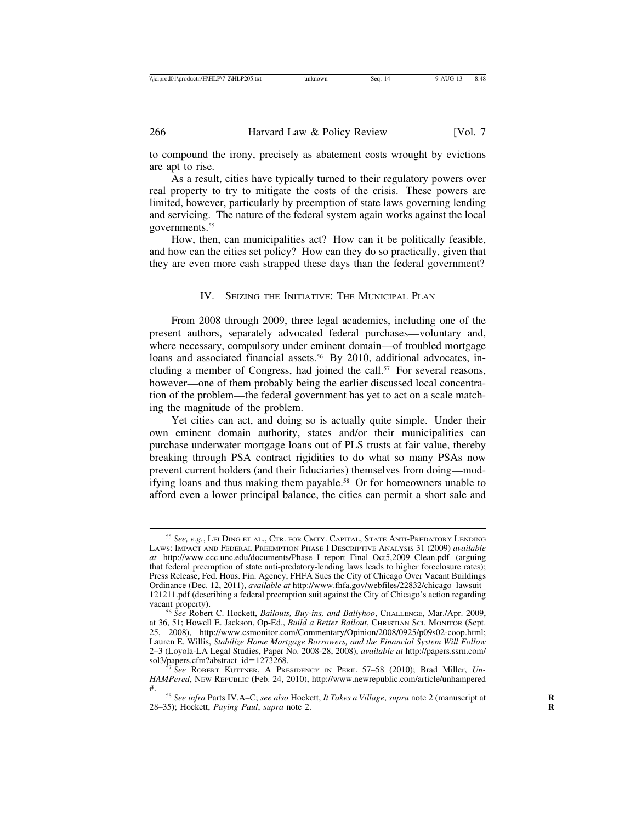to compound the irony, precisely as abatement costs wrought by evictions are apt to rise.

As a result, cities have typically turned to their regulatory powers over real property to try to mitigate the costs of the crisis. These powers are limited, however, particularly by preemption of state laws governing lending and servicing. The nature of the federal system again works against the local governments.55

How, then, can municipalities act? How can it be politically feasible, and how can the cities set policy? How can they do so practically, given that they are even more cash strapped these days than the federal government?

#### IV. SEIZING THE INITIATIVE: THE MUNICIPAL PLAN

From 2008 through 2009, three legal academics, including one of the present authors, separately advocated federal purchases—voluntary and, where necessary, compulsory under eminent domain—of troubled mortgage loans and associated financial assets.<sup>56</sup> By 2010, additional advocates, including a member of Congress, had joined the call.<sup>57</sup> For several reasons, however—one of them probably being the earlier discussed local concentration of the problem—the federal government has yet to act on a scale matching the magnitude of the problem.

Yet cities can act, and doing so is actually quite simple. Under their own eminent domain authority, states and/or their municipalities can purchase underwater mortgage loans out of PLS trusts at fair value, thereby breaking through PSA contract rigidities to do what so many PSAs now prevent current holders (and their fiduciaries) themselves from doing—modifying loans and thus making them payable.<sup>58</sup> Or for homeowners unable to afford even a lower principal balance, the cities can permit a short sale and

<sup>55</sup> *See, e.g.*, LEI DING ET AL., CTR. FOR CMTY. CAPITAL, STATE ANTI-PREDATORY LENDING LAWS: IMPACT AND FEDERAL PREEMPTION PHASE I DESCRIPTIVE ANALYSIS 31 (2009) *available at* http://www.ccc.unc.edu/documents/Phase\_I\_report\_Final\_Oct5,2009\_Clean.pdf (arguing that federal preemption of state anti-predatory-lending laws leads to higher foreclosure rates); Press Release, Fed. Hous. Fin. Agency, FHFA Sues the City of Chicago Over Vacant Buildings Ordinance (Dec. 12, 2011), *available at* http://www.fhfa.gov/webfiles/22832/chicago\_lawsuit\_ 121211.pdf (describing a federal preemption suit against the City of Chicago's action regarding vacant property). <sup>56</sup> *See* Robert C. Hockett, *Bailouts, Buy-ins, and Ballyhoo*, CHALLENGE, Mar./Apr. 2009,

at 36, 51; Howell E. Jackson, Op-Ed., *Build a Better Bailout*, CHRISTIAN SCI. MONITOR (Sept. 25, 2008), http://www.csmonitor.com/Commentary/Opinion/2008/0925/p09s02-coop.html; Lauren E. Willis, *Stabilize Home Mortgage Borrowers, and the Financial System Will Follow* 2–3 (Loyola-LA Legal Studies, Paper No. 2008-28, 2008), *available at* http://papers.ssrn.com/ sol3/papers.cfm?abstract\_id=1273268.<br><sup>57</sup> See ROBERT KUTTNER, A PRESIDENCY IN PERIL 57–58 (2010); Brad Miller, *Un-*

*HAMPered*, NEW REPUBLIC (Feb. 24, 2010), http://www.newrepublic.com/article/unhampered

<sup>#.</sup> <sup>58</sup> *See infra* Parts IV.A–C; *see also* Hockett, *It Takes a Village*, *supra* note 2 (manuscript at **<sup>R</sup>** 28–35); Hockett, *Paying Paul*, *supra* note 2. **R**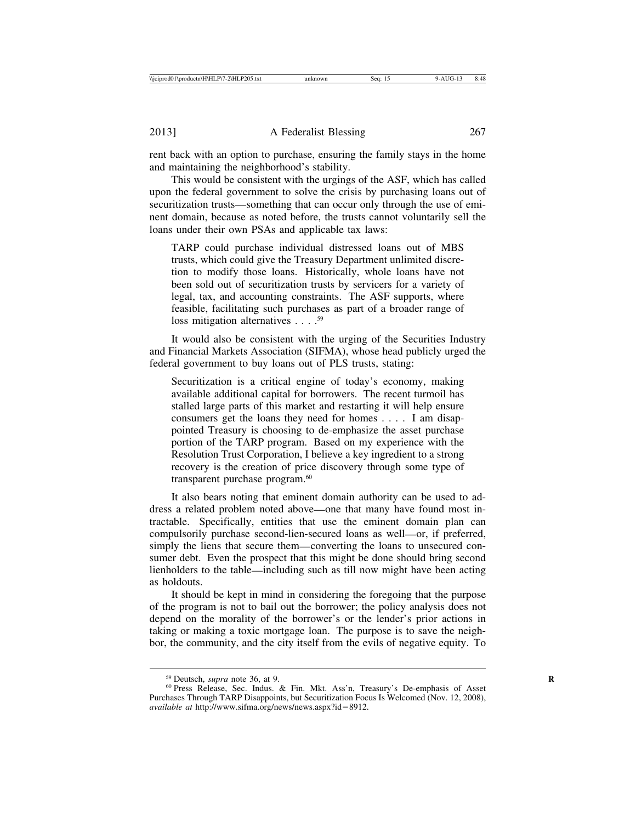rent back with an option to purchase, ensuring the family stays in the home and maintaining the neighborhood's stability.

This would be consistent with the urgings of the ASF, which has called upon the federal government to solve the crisis by purchasing loans out of securitization trusts—something that can occur only through the use of eminent domain, because as noted before, the trusts cannot voluntarily sell the loans under their own PSAs and applicable tax laws:

TARP could purchase individual distressed loans out of MBS trusts, which could give the Treasury Department unlimited discretion to modify those loans. Historically, whole loans have not been sold out of securitization trusts by servicers for a variety of legal, tax, and accounting constraints. The ASF supports, where feasible, facilitating such purchases as part of a broader range of loss mitigation alternatives . . . .<sup>59</sup>

It would also be consistent with the urging of the Securities Industry and Financial Markets Association (SIFMA), whose head publicly urged the federal government to buy loans out of PLS trusts, stating:

Securitization is a critical engine of today's economy, making available additional capital for borrowers. The recent turmoil has stalled large parts of this market and restarting it will help ensure consumers get the loans they need for homes . . . . I am disappointed Treasury is choosing to de-emphasize the asset purchase portion of the TARP program. Based on my experience with the Resolution Trust Corporation, I believe a key ingredient to a strong recovery is the creation of price discovery through some type of transparent purchase program.<sup>60</sup>

It also bears noting that eminent domain authority can be used to address a related problem noted above—one that many have found most intractable. Specifically, entities that use the eminent domain plan can compulsorily purchase second-lien-secured loans as well—or, if preferred, simply the liens that secure them—converting the loans to unsecured consumer debt. Even the prospect that this might be done should bring second lienholders to the table—including such as till now might have been acting as holdouts.

It should be kept in mind in considering the foregoing that the purpose of the program is not to bail out the borrower; the policy analysis does not depend on the morality of the borrower's or the lender's prior actions in taking or making a toxic mortgage loan. The purpose is to save the neighbor, the community, and the city itself from the evils of negative equity. To

<sup>&</sup>lt;sup>59</sup> Deutsch, *supra* note 36, at 9. **R** 60 Press Release, Sec. Indus. & Fin. Mkt. Ass'n, Treasury's De-emphasis of Asset Purchases Through TARP Disappoints, but Securitization Focus Is Welcomed (Nov. 12, 2008), *available at* http://www.sifma.org/news/news.aspx?id=8912.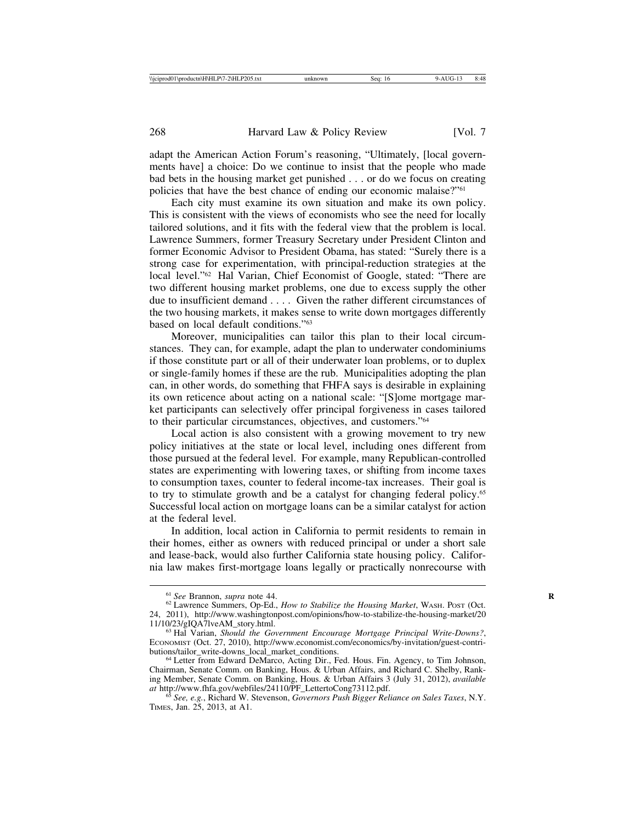adapt the American Action Forum's reasoning, "Ultimately, [local governments have] a choice: Do we continue to insist that the people who made bad bets in the housing market get punished . . . or do we focus on creating policies that have the best chance of ending our economic malaise?"<sup>61</sup>

Each city must examine its own situation and make its own policy. This is consistent with the views of economists who see the need for locally tailored solutions, and it fits with the federal view that the problem is local. Lawrence Summers, former Treasury Secretary under President Clinton and former Economic Advisor to President Obama, has stated: "Surely there is a strong case for experimentation, with principal-reduction strategies at the local level."62 Hal Varian, Chief Economist of Google, stated: "There are two different housing market problems, one due to excess supply the other due to insufficient demand . . . . Given the rather different circumstances of the two housing markets, it makes sense to write down mortgages differently based on local default conditions."63

Moreover, municipalities can tailor this plan to their local circumstances. They can, for example, adapt the plan to underwater condominiums if those constitute part or all of their underwater loan problems, or to duplex or single-family homes if these are the rub. Municipalities adopting the plan can, in other words, do something that FHFA says is desirable in explaining its own reticence about acting on a national scale: "[S]ome mortgage market participants can selectively offer principal forgiveness in cases tailored to their particular circumstances, objectives, and customers."64

Local action is also consistent with a growing movement to try new policy initiatives at the state or local level, including ones different from those pursued at the federal level. For example, many Republican-controlled states are experimenting with lowering taxes, or shifting from income taxes to consumption taxes, counter to federal income-tax increases. Their goal is to try to stimulate growth and be a catalyst for changing federal policy.<sup>65</sup> Successful local action on mortgage loans can be a similar catalyst for action at the federal level.

In addition, local action in California to permit residents to remain in their homes, either as owners with reduced principal or under a short sale and lease-back, would also further California state housing policy. California law makes first-mortgage loans legally or practically nonrecourse with

<sup>&</sup>lt;sup>61</sup> *See* Brannon, *supra* note 44.<br><sup>62</sup> Lawrence Summers, Op-Ed., *How to Stabilize the Housing Market*, WASH. POST (Oct. 24, 2011), http://www.washingtonpost.com/opinions/how-to-stabilize-the-housing-market/20<br>11/10/23/gIQA7lveAM\_story.html.

<sup>&</sup>lt;sup>63</sup> Hal Varian, *Should the Government Encourage Mortgage Principal Write-Downs?*, ECONOMIST (Oct. 27, 2010), http://www.economist.com/economics/by-invitation/guest-contri-

<sup>64</sup> Letter from Edward DeMarco, Acting Dir., Fed. Hous. Fin. Agency, to Tim Johnson, Chairman, Senate Comm. on Banking, Hous. & Urban Affairs, and Richard C. Shelby, Ranking Member, Senate Comm. on Banking, Hous. & Urban Affairs 3 (July 31, 2012), *available*

<sup>&</sup>lt;sup>65</sup> See, e.g., Richard W. Stevenson, *Governors Push Bigger Reliance on Sales Taxes*, N.Y. TIMES, Jan. 25, 2013, at A1.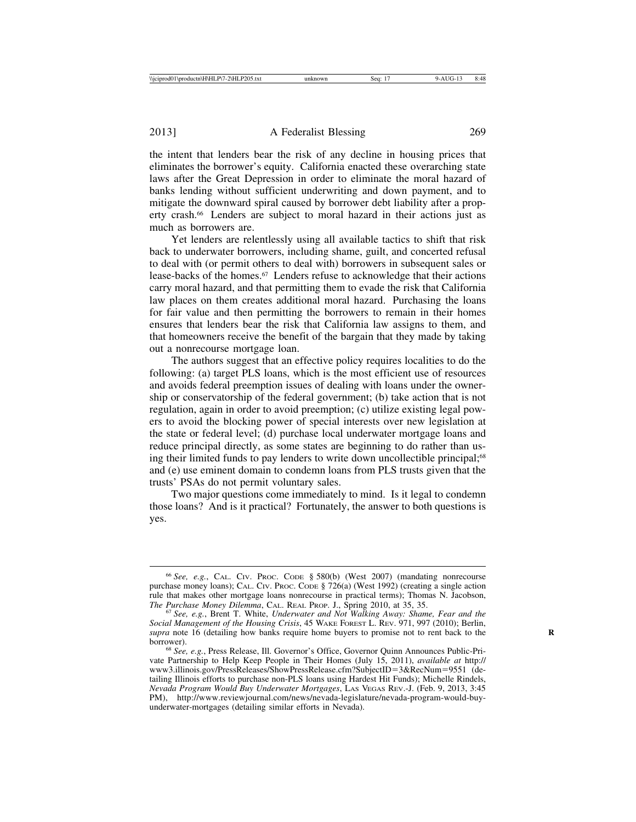the intent that lenders bear the risk of any decline in housing prices that eliminates the borrower's equity. California enacted these overarching state laws after the Great Depression in order to eliminate the moral hazard of banks lending without sufficient underwriting and down payment, and to mitigate the downward spiral caused by borrower debt liability after a property crash.66 Lenders are subject to moral hazard in their actions just as much as borrowers are.

Yet lenders are relentlessly using all available tactics to shift that risk back to underwater borrowers, including shame, guilt, and concerted refusal to deal with (or permit others to deal with) borrowers in subsequent sales or lease-backs of the homes.<sup>67</sup> Lenders refuse to acknowledge that their actions carry moral hazard, and that permitting them to evade the risk that California law places on them creates additional moral hazard. Purchasing the loans for fair value and then permitting the borrowers to remain in their homes ensures that lenders bear the risk that California law assigns to them, and that homeowners receive the benefit of the bargain that they made by taking out a nonrecourse mortgage loan.

The authors suggest that an effective policy requires localities to do the following: (a) target PLS loans, which is the most efficient use of resources and avoids federal preemption issues of dealing with loans under the ownership or conservatorship of the federal government; (b) take action that is not regulation, again in order to avoid preemption; (c) utilize existing legal powers to avoid the blocking power of special interests over new legislation at the state or federal level; (d) purchase local underwater mortgage loans and reduce principal directly, as some states are beginning to do rather than using their limited funds to pay lenders to write down uncollectible principal;68 and (e) use eminent domain to condemn loans from PLS trusts given that the trusts' PSAs do not permit voluntary sales.

Two major questions come immediately to mind. Is it legal to condemn those loans? And is it practical? Fortunately, the answer to both questions is yes.

<sup>66</sup> *See, e.g.*, CAL. CIV. PROC. CODE § 580(b) (West 2007) (mandating nonrecourse purchase money loans); CAL. CIV. PROC. CODE § 726(a) (West 1992) (creating a single action rule that makes other mortgage loans nonrecourse in practical terms); Thomas N. Jacobson, *The Purchase Money Dilemma*, CAL. REAL PROP. J., Spring 2010, at 35, 35.

<sup>&</sup>lt;sup>67</sup> See, e.g., Brent T. White, *Underwater and Not Walking Away: Shame, Fear and the Social Management of the Housing Crisis*, 45 WAKE FOREST L. REV. 971, 997 (2010); Berlin, *supra* note 16 (detailing how banks require home buyers to promise not to rent back to the borrower).

<sup>&</sup>lt;sup>68</sup> See, e.g., Press Release, Ill. Governor's Office, Governor Quinn Announces Public-Private Partnership to Help Keep People in Their Homes (July 15, 2011), *available at* http:// www3.illinois.gov/PressReleases/ShowPressRelease.cfm?SubjectID=3&RecNum=9551 (detailing Illinois efforts to purchase non-PLS loans using Hardest Hit Funds); Michelle Rindels, *Nevada Program Would Buy Underwater Mortgages*, LAS VEGAS REV.-J. (Feb. 9, 2013, 3:45 PM), http://www.reviewjournal.com/news/nevada-legislature/nevada-program-would-buyunderwater-mortgages (detailing similar efforts in Nevada).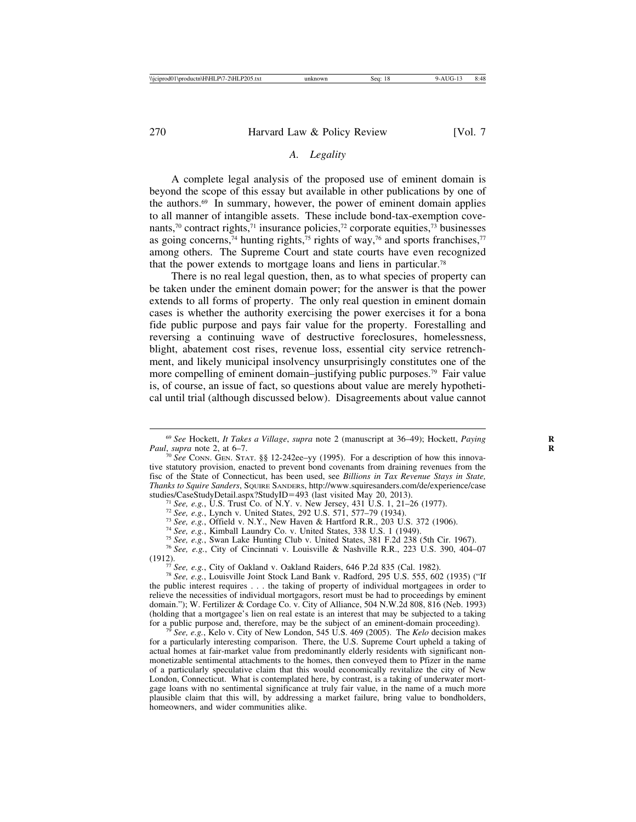# *A. Legality*

A complete legal analysis of the proposed use of eminent domain is beyond the scope of this essay but available in other publications by one of the authors.69 In summary, however, the power of eminent domain applies to all manner of intangible assets. These include bond-tax-exemption covenants,<sup>70</sup> contract rights,<sup>71</sup> insurance policies,<sup>72</sup> corporate equities,<sup>73</sup> businesses as going concerns,<sup>74</sup> hunting rights,<sup>75</sup> rights of way,<sup>76</sup> and sports franchises,<sup>77</sup> among others. The Supreme Court and state courts have even recognized that the power extends to mortgage loans and liens in particular.78

There is no real legal question, then, as to what species of property can be taken under the eminent domain power; for the answer is that the power extends to all forms of property. The only real question in eminent domain cases is whether the authority exercising the power exercises it for a bona fide public purpose and pays fair value for the property. Forestalling and reversing a continuing wave of destructive foreclosures, homelessness, blight, abatement cost rises, revenue loss, essential city service retrenchment, and likely municipal insolvency unsurprisingly constitutes one of the more compelling of eminent domain–justifying public purposes.79 Fair value is, of course, an issue of fact, so questions about value are merely hypothetical until trial (although discussed below). Disagreements about value cannot

- 
- 
- 
- studies/CaseStudyDetail.aspx?StudyID=493 (last visited May 20, 2013).<br>
<sup>71</sup> See, e.g., U.S. Trust Co. of N.Y. v. New Jersey, 431 U.S. 1, 21–26 (1977).<br>
<sup>72</sup> See, e.g., Lynch v. United States, 292 U.S. 571, 577–79 (1934).<br>

<sup>77</sup> *See, e.g.*, City of Oakland v. Oakland Raiders, 646 P.2d 835 (Cal. 1982).<br><sup>78</sup> *See, e.g.*, Louisville Joint Stock Land Bank v. Radford, 295 U.S. 555, 602 (1935) ("If the public interest requires . . . the taking of property of individual mortgagees in order to relieve the necessities of individual mortgagors, resort must be had to proceedings by eminent domain."); W. Fertilizer & Cordage Co. v. City of Alliance, 504 N.W.2d 808, 816 (Neb. 1993) (holding that a mortgagee's lien on real estate is an interest that may be subjected to a taking for a public purpose and, therefore, may be the subject of an eminent-domain proceeding).

*See, e.g.*, Kelo v. City of New London, 545 U.S. 469 (2005). The *Kelo* decision makes for a particularly interesting comparison. There, the U.S. Supreme Court upheld a taking of actual homes at fair-market value from predominantly elderly residents with significant nonmonetizable sentimental attachments to the homes, then conveyed them to Pfizer in the name of a particularly speculative claim that this would economically revitalize the city of New London, Connecticut. What is contemplated here, by contrast, is a taking of underwater mortgage loans with no sentimental significance at truly fair value, in the name of a much more plausible claim that this will, by addressing a market failure, bring value to bondholders, homeowners, and wider communities alike.

<sup>69</sup> *See* Hockett, *It Takes a Village*, *supra* note 2 (manuscript at 36–49); Hockett, *Paying* **R**

<sup>&</sup>lt;sup>70</sup> See CONN. GEN. STAT. §§ 12-242ee–yy (1995). For a description of how this innovative statutory provision, enacted to prevent bond covenants from draining revenues from the fisc of the State of Connecticut, has been used, see *Billions in Tax Revenue Stays in State, Thanks to Squire Sanders*, SQUIRE SANDERS, http://www.squiresanders.com/de/experience/case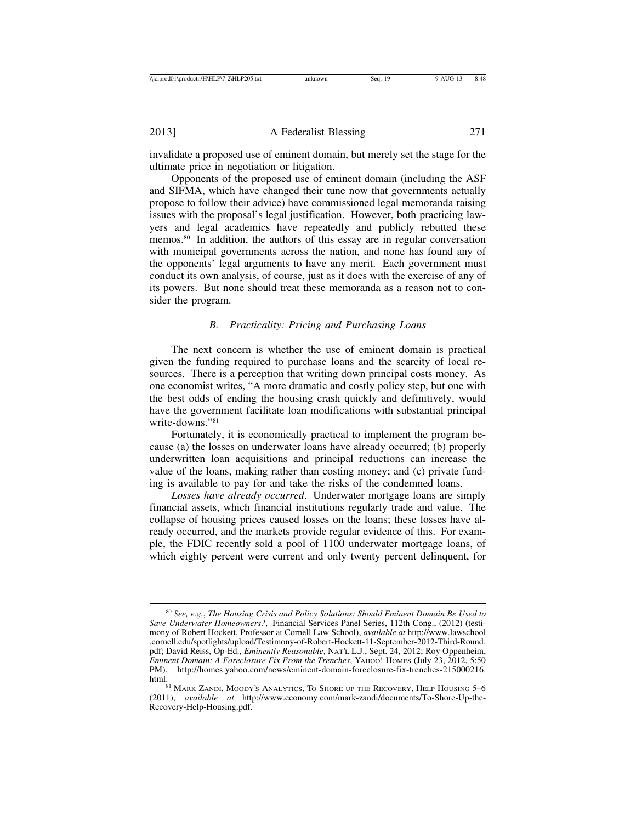invalidate a proposed use of eminent domain, but merely set the stage for the ultimate price in negotiation or litigation.

Opponents of the proposed use of eminent domain (including the ASF and SIFMA, which have changed their tune now that governments actually propose to follow their advice) have commissioned legal memoranda raising issues with the proposal's legal justification. However, both practicing lawyers and legal academics have repeatedly and publicly rebutted these memos.80 In addition, the authors of this essay are in regular conversation with municipal governments across the nation, and none has found any of the opponents' legal arguments to have any merit. Each government must conduct its own analysis, of course, just as it does with the exercise of any of its powers. But none should treat these memoranda as a reason not to consider the program.

## *B. Practicality: Pricing and Purchasing Loans*

The next concern is whether the use of eminent domain is practical given the funding required to purchase loans and the scarcity of local resources. There is a perception that writing down principal costs money. As one economist writes, "A more dramatic and costly policy step, but one with the best odds of ending the housing crash quickly and definitively, would have the government facilitate loan modifications with substantial principal write-downs."81

Fortunately, it is economically practical to implement the program because (a) the losses on underwater loans have already occurred; (b) properly underwritten loan acquisitions and principal reductions can increase the value of the loans, making rather than costing money; and (c) private funding is available to pay for and take the risks of the condemned loans.

*Losses have already occurred*. Underwater mortgage loans are simply financial assets, which financial institutions regularly trade and value. The collapse of housing prices caused losses on the loans; these losses have already occurred, and the markets provide regular evidence of this. For example, the FDIC recently sold a pool of 1100 underwater mortgage loans, of which eighty percent were current and only twenty percent delinquent, for

<sup>80</sup> *See, e.g.*, *The Housing Crisis and Policy Solutions: Should Eminent Domain Be Used to Save Underwater Homeowners?*, Financial Services Panel Series, 112th Cong., (2012) (testimony of Robert Hockett, Professor at Cornell Law School), *available at* http://www.lawschool .cornell.edu/spotlights/upload/Testimony-of-Robert-Hockett-11-September-2012-Third-Round. pdf; David Reiss, Op-Ed., *Eminently Reasonable*, NAT'L L.J., Sept. 24, 2012; Roy Oppenheim, *Eminent Domain: A Foreclosure Fix From the Trenches*, YAHOO! HOMES (July 23, 2012, 5:50 PM). http://homes.vahoo.com/news/eminent-domain-foreclosure-fix-trenches-215000216. PM), http://homes.yahoo.com/news/eminent-domain-foreclosure-fix-trenches-215000216.

 $^{81}$  MARK ZANDI, MOODY'S ANALYTICS, TO SHORE UP THE RECOVERY, HELP HOUSING  $5-6$ (2011), *available at* http://www.economy.com/mark-zandi/documents/To-Shore-Up-the-Recovery-Help-Housing.pdf.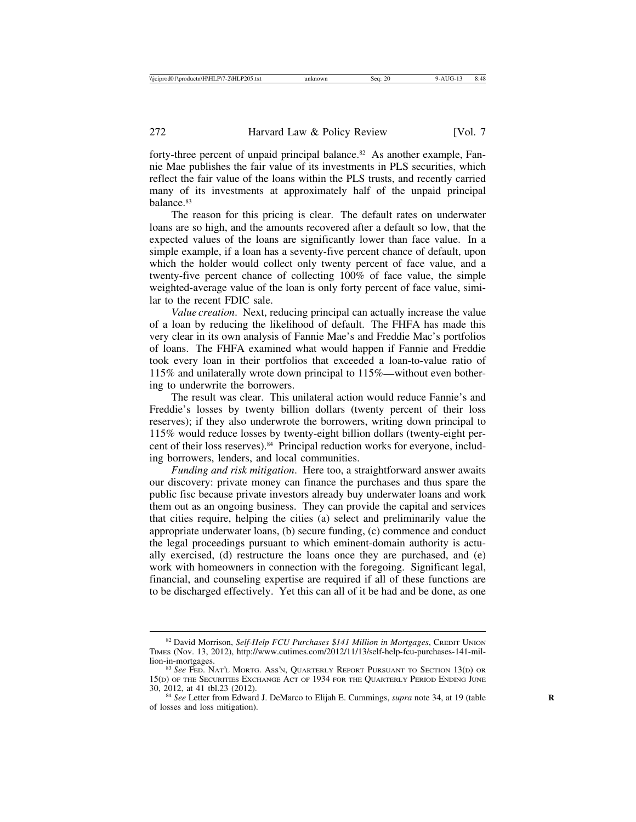forty-three percent of unpaid principal balance.<sup>82</sup> As another example, Fannie Mae publishes the fair value of its investments in PLS securities, which reflect the fair value of the loans within the PLS trusts, and recently carried many of its investments at approximately half of the unpaid principal balance.<sup>83</sup>

The reason for this pricing is clear. The default rates on underwater loans are so high, and the amounts recovered after a default so low, that the expected values of the loans are significantly lower than face value. In a simple example, if a loan has a seventy-five percent chance of default, upon which the holder would collect only twenty percent of face value, and a twenty-five percent chance of collecting 100% of face value, the simple weighted-average value of the loan is only forty percent of face value, similar to the recent FDIC sale.

*Value creation*. Next, reducing principal can actually increase the value of a loan by reducing the likelihood of default. The FHFA has made this very clear in its own analysis of Fannie Mae's and Freddie Mac's portfolios of loans. The FHFA examined what would happen if Fannie and Freddie took every loan in their portfolios that exceeded a loan-to-value ratio of 115% and unilaterally wrote down principal to 115%—without even bothering to underwrite the borrowers.

The result was clear. This unilateral action would reduce Fannie's and Freddie's losses by twenty billion dollars (twenty percent of their loss reserves); if they also underwrote the borrowers, writing down principal to 115% would reduce losses by twenty-eight billion dollars (twenty-eight percent of their loss reserves).<sup>84</sup> Principal reduction works for everyone, including borrowers, lenders, and local communities.

*Funding and risk mitigation*. Here too, a straightforward answer awaits our discovery: private money can finance the purchases and thus spare the public fisc because private investors already buy underwater loans and work them out as an ongoing business. They can provide the capital and services that cities require, helping the cities (a) select and preliminarily value the appropriate underwater loans, (b) secure funding, (c) commence and conduct the legal proceedings pursuant to which eminent-domain authority is actually exercised, (d) restructure the loans once they are purchased, and (e) work with homeowners in connection with the foregoing. Significant legal, financial, and counseling expertise are required if all of these functions are to be discharged effectively. Yet this can all of it be had and be done, as one

<sup>82</sup> David Morrison, *Self-Help FCU Purchases \$141 Million in Mortgages*, CREDIT UNION TIMES (Nov. 13, 2012), http://www.cutimes.com/2012/11/13/self-help-fcu-purchases-141-million-in-mortgages.<br><sup>83</sup> *See* Fed. Nat'l Mortg. Ass'n, Quarterly Report Pursuant to Section 13(d) or

<sup>15(</sup>D) OF THE SECURITIES EXCHANGE ACT OF 1934 FOR THE QUARTERLY PERIOD ENDING JUNE <sup>30</sup>, 2012, at 41 tbl.23 (2012). <sup>84</sup> *See* Letter from Edward J. DeMarco to Elijah E. Cummings, *supra* note 34, at 19 (table **<sup>R</sup>**

of losses and loss mitigation).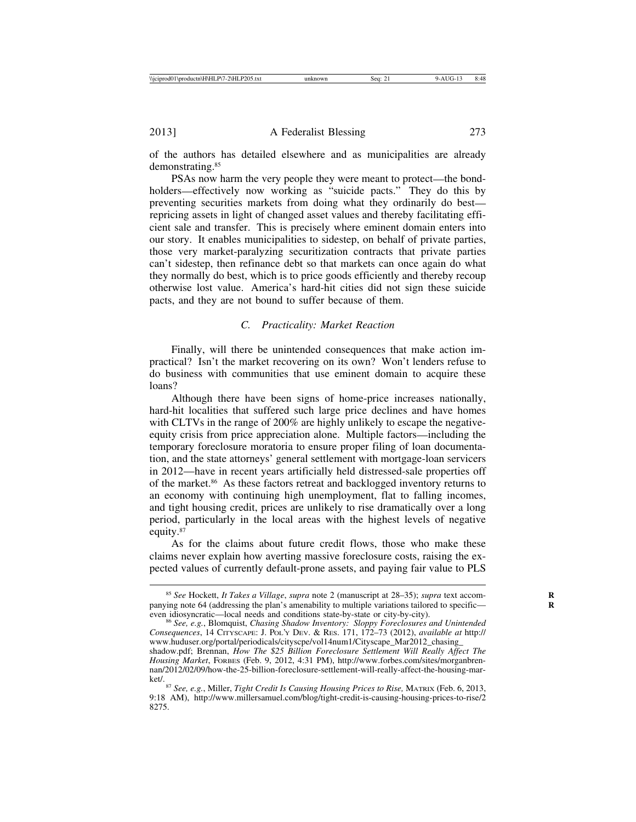of the authors has detailed elsewhere and as municipalities are already demonstrating.85

PSAs now harm the very people they were meant to protect—the bondholders—effectively now working as "suicide pacts." They do this by preventing securities markets from doing what they ordinarily do best repricing assets in light of changed asset values and thereby facilitating efficient sale and transfer. This is precisely where eminent domain enters into our story. It enables municipalities to sidestep, on behalf of private parties, those very market-paralyzing securitization contracts that private parties can't sidestep, then refinance debt so that markets can once again do what they normally do best, which is to price goods efficiently and thereby recoup otherwise lost value. America's hard-hit cities did not sign these suicide pacts, and they are not bound to suffer because of them.

#### *C. Practicality: Market Reaction*

Finally, will there be unintended consequences that make action impractical? Isn't the market recovering on its own? Won't lenders refuse to do business with communities that use eminent domain to acquire these loans?

Although there have been signs of home-price increases nationally, hard-hit localities that suffered such large price declines and have homes with CLTVs in the range of 200% are highly unlikely to escape the negativeequity crisis from price appreciation alone. Multiple factors—including the temporary foreclosure moratoria to ensure proper filing of loan documentation, and the state attorneys' general settlement with mortgage-loan servicers in 2012—have in recent years artificially held distressed-sale properties off of the market.86 As these factors retreat and backlogged inventory returns to an economy with continuing high unemployment, flat to falling incomes, and tight housing credit, prices are unlikely to rise dramatically over a long period, particularly in the local areas with the highest levels of negative equity.87

As for the claims about future credit flows, those who make these claims never explain how averting massive foreclosure costs, raising the expected values of currently default-prone assets, and paying fair value to PLS

<sup>85</sup> *See* Hockett, *It Takes a Village*, *supra* note 2 (manuscript at 28–35); *supra* text accom- **R** panying note 64 (addressing the plan's amenability to multiple variations tailored to specific— even idiosyncratic—local needs and conditions state-by-state or city-by-city).

<sup>&</sup>lt;sup>86</sup> See, e.g., Blomquist, Chasing Shadow Inventory: Sloppy Foreclosures and Unintended *Consequences*, 14 CITYSCAPE: J. POL'Y DEV. & RES. 171, 172–73 (2012), *available at* http:// www.huduser.org/portal/periodicals/cityscpe/vol14num1/Cityscape Mar2012 chasing

shadow.pdf; Brennan, *How The \$25 Billion Foreclosure Settlement Will Really Affect The Housing Market*, FORBES (Feb. 9, 2012, 4:31 PM), http://www.forbes.com/sites/morganbrennan/2012/02/09/how-the-25-billion-foreclosure-settlement-will-really-affect-the-housing-mar-

ket/. <sup>87</sup> *See, e.g.*, Miller, *Tight Credit Is Causing Housing Prices to Rise,* MATRIX (Feb. 6, 2013, 9:18 AM), http://www.millersamuel.com/blog/tight-credit-is-causing-housing-prices-to-rise/2 8275.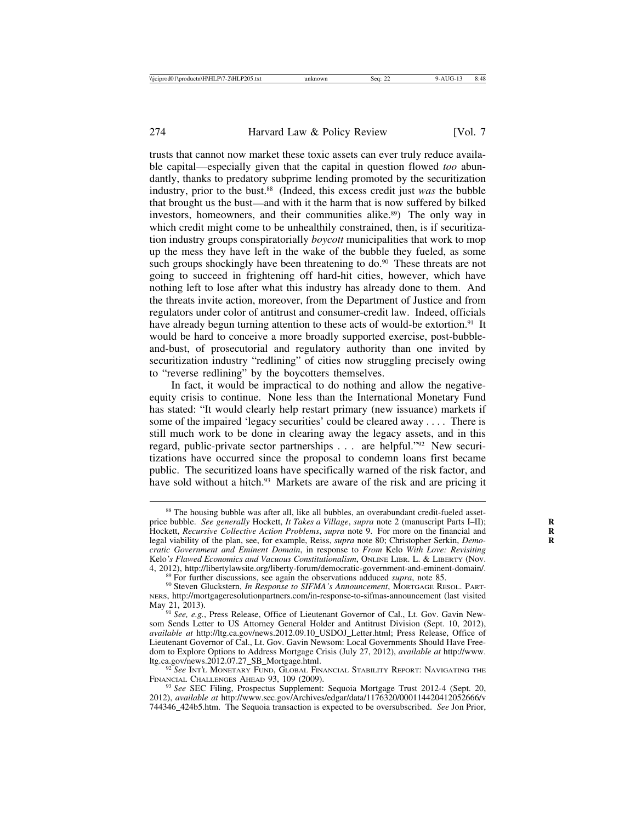trusts that cannot now market these toxic assets can ever truly reduce available capital—especially given that the capital in question flowed *too* abundantly, thanks to predatory subprime lending promoted by the securitization industry, prior to the bust.88 (Indeed, this excess credit just *was* the bubble that brought us the bust—and with it the harm that is now suffered by bilked investors, homeowners, and their communities alike.<sup>89</sup>) The only way in which credit might come to be unhealthily constrained, then, is if securitization industry groups conspiratorially *boycott* municipalities that work to mop up the mess they have left in the wake of the bubble they fueled, as some such groups shockingly have been threatening to  $do.^{90}$ . These threats are not going to succeed in frightening off hard-hit cities, however, which have nothing left to lose after what this industry has already done to them. And the threats invite action, moreover, from the Department of Justice and from regulators under color of antitrust and consumer-credit law. Indeed, officials have already begun turning attention to these acts of would-be extortion.<sup>91</sup> It would be hard to conceive a more broadly supported exercise, post-bubbleand-bust, of prosecutorial and regulatory authority than one invited by securitization industry "redlining" of cities now struggling precisely owing to "reverse redlining" by the boycotters themselves.

In fact, it would be impractical to do nothing and allow the negativeequity crisis to continue. None less than the International Monetary Fund has stated: "It would clearly help restart primary (new issuance) markets if some of the impaired 'legacy securities' could be cleared away . . . . There is still much work to be done in clearing away the legacy assets, and in this regard, public-private sector partnerships . . . are helpful."92 New securitizations have occurred since the proposal to condemn loans first became public. The securitized loans have specifically warned of the risk factor, and have sold without a hitch.<sup>93</sup> Markets are aware of the risk and are pricing it

<sup>88</sup> The housing bubble was after all, like all bubbles, an overabundant credit-fueled assetprice bubble. *See generally* Hockett, *It Takes a Village*, *supra* note 2 (manuscript Parts I–II); Hockett, *Recursive Collective Action Problems*, *supra* note 9. For more on the financial and legal viability of the plan, see, for example, Reiss, *supra* note 80; Christopher Serkin, *Democratic Government and Eminent Domain*, in response to *From* Kelo *With Love: Revisiting* Kelo's Flawed Economics and Vacuous Constitutionalism, ONLINE LIBR. L. & LIBERTY (Nov. 4, 2012), http://libertylawsite.org/liberty-forum/democratic-government-and-eminent-domain/.

<sup>&</sup>lt;sup>89</sup> For further discussions, see again the observations adduced *supra*, note 85.<br><sup>90</sup> Steven Gluckstern, *In Response to SIFMA's Announcement*, MORTGAGE RESOL. PART-

NERS, http://mortgageresolutionpartners.com/in-response-to-sifmas-announcement (last visited May 21, 2013).<br><sup>91</sup> *See, e.g.*, Press Release, Office of Lieutenant Governor of Cal., Lt. Gov. Gavin New-

som Sends Letter to US Attorney General Holder and Antitrust Division (Sept. 10, 2012), *available at* http://ltg.ca.gov/news.2012.09.10\_USDOJ\_Letter.html; Press Release, Office of Lieutenant Governor of Cal., Lt. Gov. Gavin Newsom: Local Governments Should Have Freedom to Explore Options to Address Mortgage Crisis (July 27, 2012), *available at* http://www.

<sup>&</sup>lt;sup>92</sup> See INT'L MONETARY FUND, GLOBAL FINANCIAL STABILITY REPORT: NAVIGATING THE FINANCIAL CHALLENGES AHEAD 93, 109 (2009).

<sup>&</sup>lt;sup>93</sup> See SEC Filing, Prospectus Supplement: Sequoia Mortgage Trust 2012-4 (Sept. 20, 2012), *available at* http://www.sec.gov/Archives/edgar/data/1176320/000114420412052666/v 744346\_424b5.htm. The Sequoia transaction is expected to be oversubscribed. *See* Jon Prior,